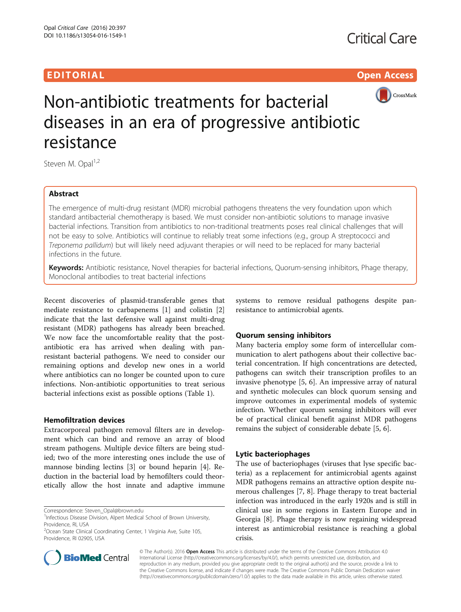# EDITORIAL AND INTERNATIONAL CONTRACT CONTRACT OF THE CONTRACT OF THE CONTRACT OF THE CONTRACT OF THE CONTRACT O



# Non-antibiotic treatments for bacterial diseases in an era of progressive antibiotic resistance

Steven M. Opal<sup>1,2</sup>

## Abstract

The emergence of multi-drug resistant (MDR) microbial pathogens threatens the very foundation upon which standard antibacterial chemotherapy is based. We must consider non-antibiotic solutions to manage invasive bacterial infections. Transition from antibiotics to non-traditional treatments poses real clinical challenges that will not be easy to solve. Antibiotics will continue to reliably treat some infections (e.g., group A streptococci and Treponema pallidum) but will likely need adjuvant therapies or will need to be replaced for many bacterial infections in the future.

Keywords: Antibiotic resistance, Novel therapies for bacterial infections, Quorum-sensing inhibitors, Phage therapy, Monoclonal antibodies to treat bacterial infections

Recent discoveries of plasmid-transferable genes that mediate resistance to carbapenems [[1](#page-2-0)] and colistin [\[2](#page-2-0)] indicate that the last defensive wall against multi-drug resistant (MDR) pathogens has already been breached. We now face the uncomfortable reality that the postantibiotic era has arrived when dealing with panresistant bacterial pathogens. We need to consider our remaining options and develop new ones in a world where antibiotics can no longer be counted upon to cure infections. Non-antibiotic opportunities to treat serious bacterial infections exist as possible options (Table [1\)](#page-1-0).

### Hemofiltration devices

Extracorporeal pathogen removal filters are in development which can bind and remove an array of blood stream pathogens. Multiple device filters are being studied; two of the more interesting ones include the use of mannose binding lectins [\[3](#page-2-0)] or bound heparin [[4\]](#page-2-0). Reduction in the bacterial load by hemofilters could theoretically allow the host innate and adaptive immune



#### Quorum sensing inhibitors

Many bacteria employ some form of intercellular communication to alert pathogens about their collective bacterial concentration. If high concentrations are detected, pathogens can switch their transcription profiles to an invasive phenotype [\[5](#page-2-0), [6](#page-2-0)]. An impressive array of natural and synthetic molecules can block quorum sensing and improve outcomes in experimental models of systemic infection. Whether quorum sensing inhibitors will ever be of practical clinical benefit against MDR pathogens remains the subject of considerable debate [\[5](#page-2-0), [6](#page-2-0)].

### Lytic bacteriophages

The use of bacteriophages (viruses that lyse specific bacteria) as a replacement for antimicrobial agents against MDR pathogens remains an attractive option despite numerous challenges [\[7](#page-2-0), [8](#page-2-0)]. Phage therapy to treat bacterial infection was introduced in the early 1920s and is still in clinical use in some regions in Eastern Europe and in Georgia [[8\]](#page-2-0). Phage therapy is now regaining widespread interest as antimicrobial resistance is reaching a global crisis.



© The Author(s). 2016 Open Access This article is distributed under the terms of the Creative Commons Attribution 4.0 International License [\(http://creativecommons.org/licenses/by/4.0/](http://creativecommons.org/licenses/by/4.0/)), which permits unrestricted use, distribution, and reproduction in any medium, provided you give appropriate credit to the original author(s) and the source, provide a link to the Creative Commons license, and indicate if changes were made. The Creative Commons Public Domain Dedication waiver [\(http://creativecommons.org/publicdomain/zero/1.0/](http://creativecommons.org/publicdomain/zero/1.0/)) applies to the data made available in this article, unless otherwise stated.

Correspondence: [Steven\\_Opal@brown.edu](mailto:Steven_Opal@brown.edu) <sup>1</sup>

<sup>&</sup>lt;sup>1</sup>Infectious Disease Division, Alpert Medical School of Brown University, Providence, RI, USA

<sup>&</sup>lt;sup>2</sup>Ocean State Clinical Coordinating Center, 1 Virginia Ave, Suite 105, Providence, RI 02905, USA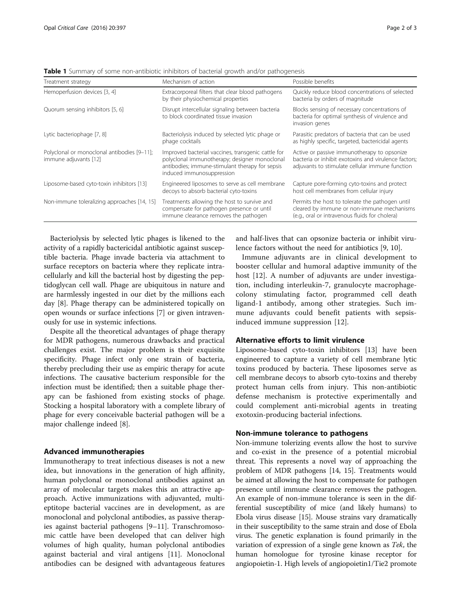| Treatment strategy                                                   | Mechanism of action                                                                                                                                                                 | Possible benefits                                                                                                                                      |
|----------------------------------------------------------------------|-------------------------------------------------------------------------------------------------------------------------------------------------------------------------------------|--------------------------------------------------------------------------------------------------------------------------------------------------------|
| Hemoperfusion devices [3, 4]                                         | Extracorporeal filters that clear blood pathogens<br>by their physiochemical properties                                                                                             | Quickly reduce blood concentrations of selected<br>bacteria by orders of magnitude                                                                     |
| Quorum sensing inhibitors [5, 6]                                     | Disrupt intercellular signaling between bacteria<br>to block coordinated tissue invasion                                                                                            | Blocks sensing of necessary concentrations of<br>bacteria for optimal synthesis of virulence and<br>invasion genes                                     |
| Lytic bacteriophage [7, 8]                                           | Bacteriolysis induced by selected lytic phage or<br>phage cocktails                                                                                                                 | Parasitic predators of bacteria that can be used<br>as highly specific, targeted, bactericidal agents                                                  |
| Polyclonal or monoclonal antibodies [9-11];<br>immune adjuvants [12] | Improved bacterial vaccines, transgenic cattle for<br>polyclonal immunotherapy; designer monoclonal<br>antibodies; immune-stimulant therapy for sepsis<br>induced immunosuppression | Active or passive immunotherapy to opsonize<br>bacteria or inhibit exotoxins and virulence factors;<br>adjuvants to stimulate cellular immune function |
| Liposome-based cyto-toxin inhibitors [13]                            | Engineered liposomes to serve as cell membrane<br>decoys to absorb bacterial cyto-toxins                                                                                            | Capture pore-forming cyto-toxins and protect<br>host cell membranes from cellular injury                                                               |
| Non-immune toleralizing approaches [14, 15]                          | Treatments allowing the host to survive and<br>compensate for pathogen presence or until<br>immune clearance removes the pathogen                                                   | Permits the host to tolerate the pathogen until<br>cleared by immune or non-immune mechanisms<br>(e.g., oral or intravenous fluids for cholera)        |

<span id="page-1-0"></span>Table 1 Summary of some non-antibiotic inhibitors of bacterial growth and/or pathogenesis

Bacteriolysis by selected lytic phages is likened to the activity of a rapidly bactericidal antibiotic against susceptible bacteria. Phage invade bacteria via attachment to surface receptors on bacteria where they replicate intracellularly and kill the bacterial host by digesting the peptidoglycan cell wall. Phage are ubiquitous in nature and are harmlessly ingested in our diet by the millions each day [[8\]](#page-2-0). Phage therapy can be administered topically on open wounds or surface infections [\[7](#page-2-0)] or given intravenously for use in systemic infections.

Despite all the theoretical advantages of phage therapy for MDR pathogens, numerous drawbacks and practical challenges exist. The major problem is their exquisite specificity. Phage infect only one strain of bacteria, thereby precluding their use as empiric therapy for acute infections. The causative bacterium responsible for the infection must be identified; then a suitable phage therapy can be fashioned from existing stocks of phage. Stocking a hospital laboratory with a complete library of phage for every conceivable bacterial pathogen will be a major challenge indeed [[8\]](#page-2-0).

#### Advanced immunotherapies

Immunotherapy to treat infectious diseases is not a new idea, but innovations in the generation of high affinity, human polyclonal or monoclonal antibodies against an array of molecular targets makes this an attractive approach. Active immunizations with adjuvanted, multieptitope bacterial vaccines are in development, as are monoclonal and polyclonal antibodies, as passive therapies against bacterial pathogens [\[9](#page-2-0)–[11\]](#page-2-0). Transchromosomic cattle have been developed that can deliver high volumes of high quality, human polyclonal antibodies against bacterial and viral antigens [\[11\]](#page-2-0). Monoclonal antibodies can be designed with advantageous features

and half-lives that can opsonize bacteria or inhibit virulence factors without the need for antibiotics [[9, 10\]](#page-2-0).

Immune adjuvants are in clinical development to booster cellular and humoral adaptive immunity of the host [[12\]](#page-2-0). A number of adjuvants are under investigation, including interleukin-7, granulocyte macrophagecolony stimulating factor, programmed cell death ligand-1 antibody, among other strategies. Such immune adjuvants could benefit patients with sepsisinduced immune suppression [\[12](#page-2-0)].

#### Alternative efforts to limit virulence

Liposome-based cyto-toxin inhibitors [[13\]](#page-2-0) have been engineered to capture a variety of cell membrane lytic toxins produced by bacteria. These liposomes serve as cell membrane decoys to absorb cyto-toxins and thereby protect human cells from injury. This non-antibiotic defense mechanism is protective experimentally and could complement anti-microbial agents in treating exotoxin-producing bacterial infections.

#### Non-immune tolerance to pathogens

Non-immune tolerizing events allow the host to survive and co-exist in the presence of a potential microbial threat. This represents a novel way of approaching the problem of MDR pathogens [[14](#page-2-0), [15](#page-2-0)]. Treatments would be aimed at allowing the host to compensate for pathogen presence until immune clearance removes the pathogen. An example of non-immune tolerance is seen in the differential susceptibility of mice (and likely humans) to Ebola virus disease [\[15\]](#page-2-0). Mouse strains vary dramatically in their susceptibility to the same strain and dose of Ebola virus. The genetic explanation is found primarily in the variation of expression of a single gene known as Tek, the human homologue for tyrosine kinase receptor for angiopoietin-1. High levels of angiopoietin1/Tie2 promote